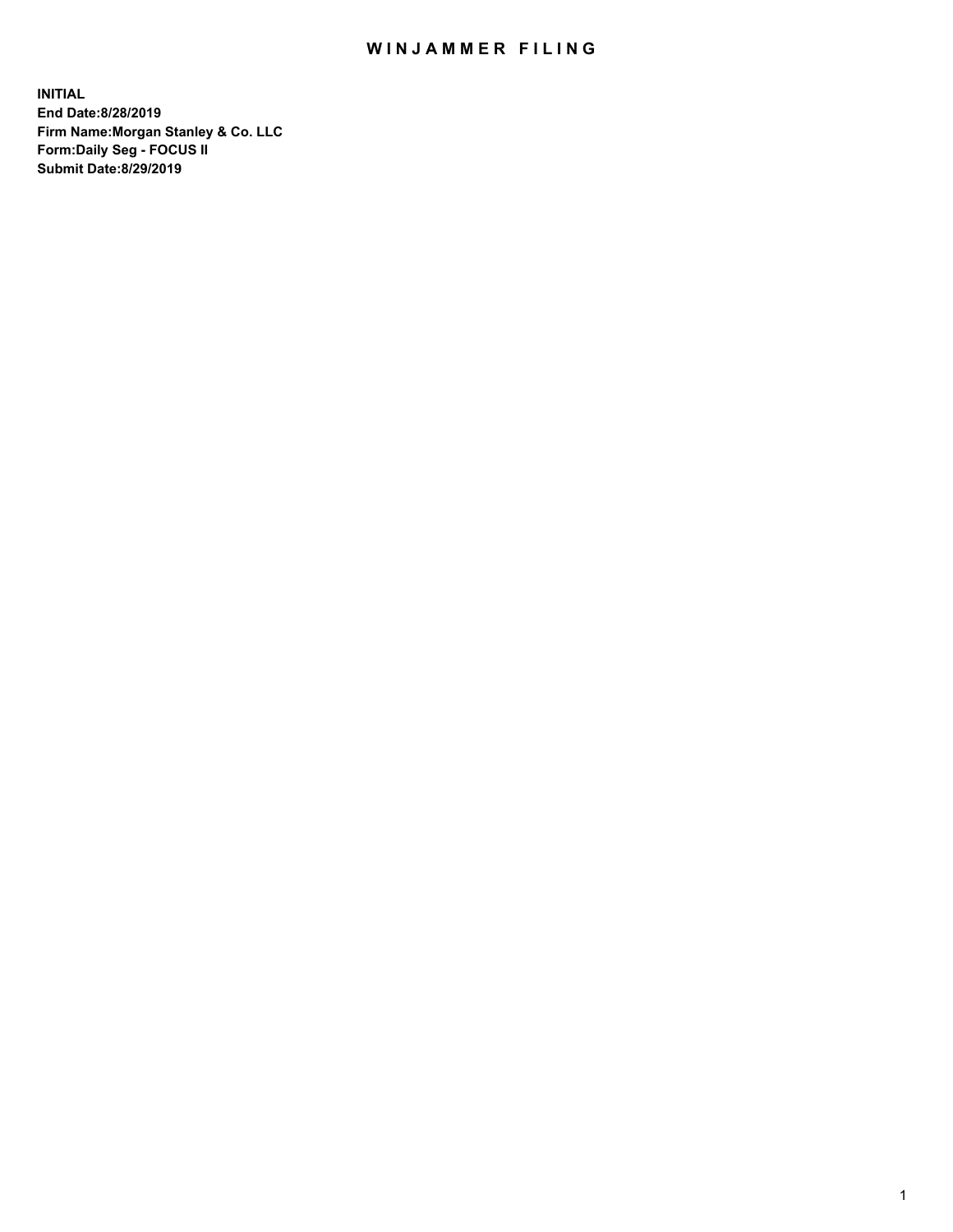## WIN JAMMER FILING

**INITIAL End Date:8/28/2019 Firm Name:Morgan Stanley & Co. LLC Form:Daily Seg - FOCUS II Submit Date:8/29/2019**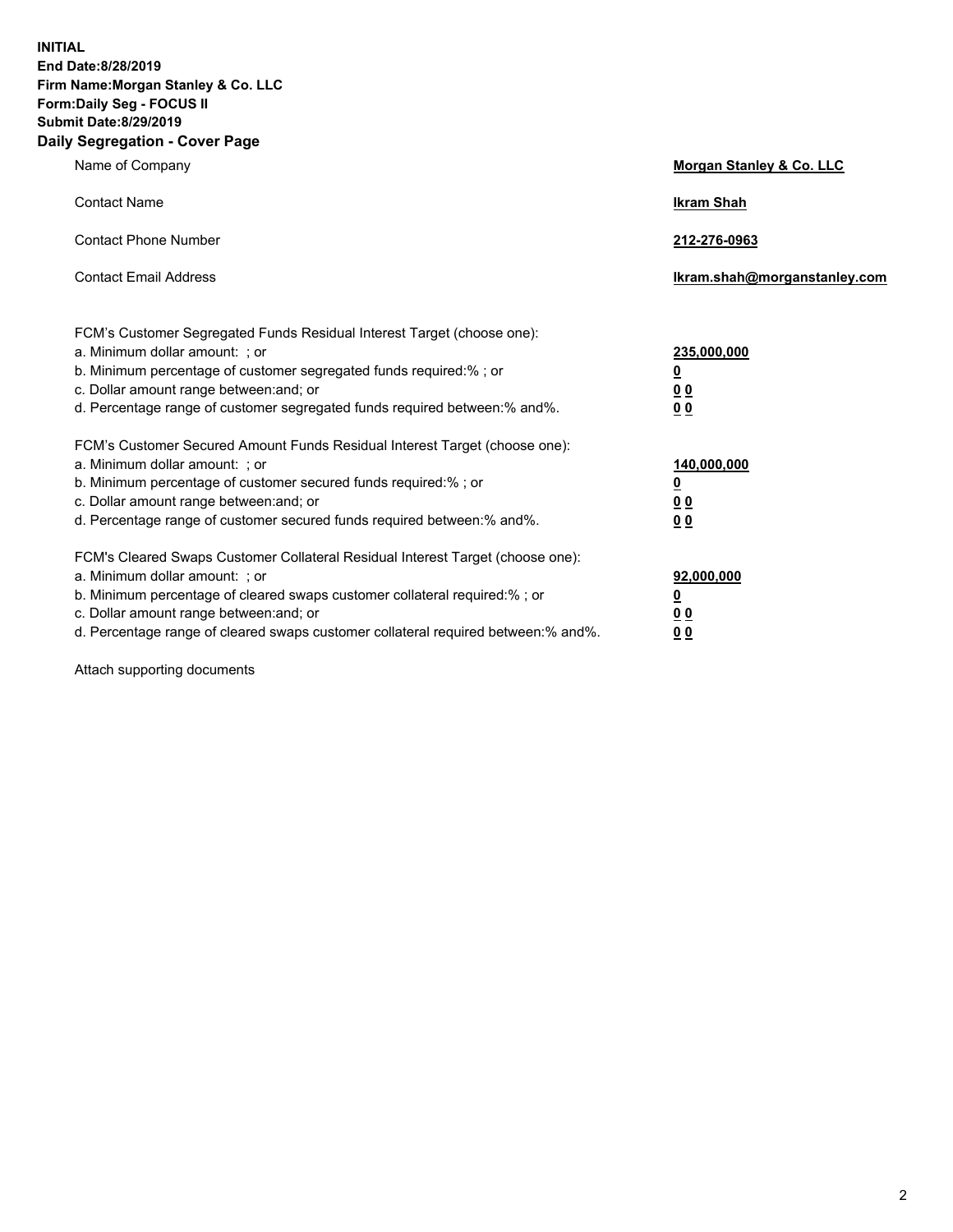**INITIAL End Date:8/28/2019 Firm Name:Morgan Stanley & Co. LLC Form:Daily Seg - FOCUS II Submit Date:8/29/2019 Daily Segregation - Cover Page**

| Name of Company                                                                                                                                                                                                                                                                                                               | Morgan Stanley & Co. LLC                               |
|-------------------------------------------------------------------------------------------------------------------------------------------------------------------------------------------------------------------------------------------------------------------------------------------------------------------------------|--------------------------------------------------------|
| <b>Contact Name</b>                                                                                                                                                                                                                                                                                                           | <b>Ikram Shah</b>                                      |
| <b>Contact Phone Number</b>                                                                                                                                                                                                                                                                                                   | 212-276-0963                                           |
| <b>Contact Email Address</b>                                                                                                                                                                                                                                                                                                  | Ikram.shah@morganstanley.com                           |
| FCM's Customer Segregated Funds Residual Interest Target (choose one):<br>a. Minimum dollar amount: ; or<br>b. Minimum percentage of customer segregated funds required:% ; or<br>c. Dollar amount range between: and; or<br>d. Percentage range of customer segregated funds required between:% and%.                        | 235,000,000<br><u>0</u><br><u>00</u><br>0 <sup>0</sup> |
| FCM's Customer Secured Amount Funds Residual Interest Target (choose one):<br>a. Minimum dollar amount: ; or<br>b. Minimum percentage of customer secured funds required:%; or<br>c. Dollar amount range between: and; or<br>d. Percentage range of customer secured funds required between:% and%.                           | 140,000,000<br><u>0</u><br><u>00</u><br>0 <sub>0</sub> |
| FCM's Cleared Swaps Customer Collateral Residual Interest Target (choose one):<br>a. Minimum dollar amount: ; or<br>b. Minimum percentage of cleared swaps customer collateral required:%; or<br>c. Dollar amount range between: and; or<br>d. Percentage range of cleared swaps customer collateral required between:% and%. | 92,000,000<br><u>0</u><br>0 Q<br>00                    |

Attach supporting documents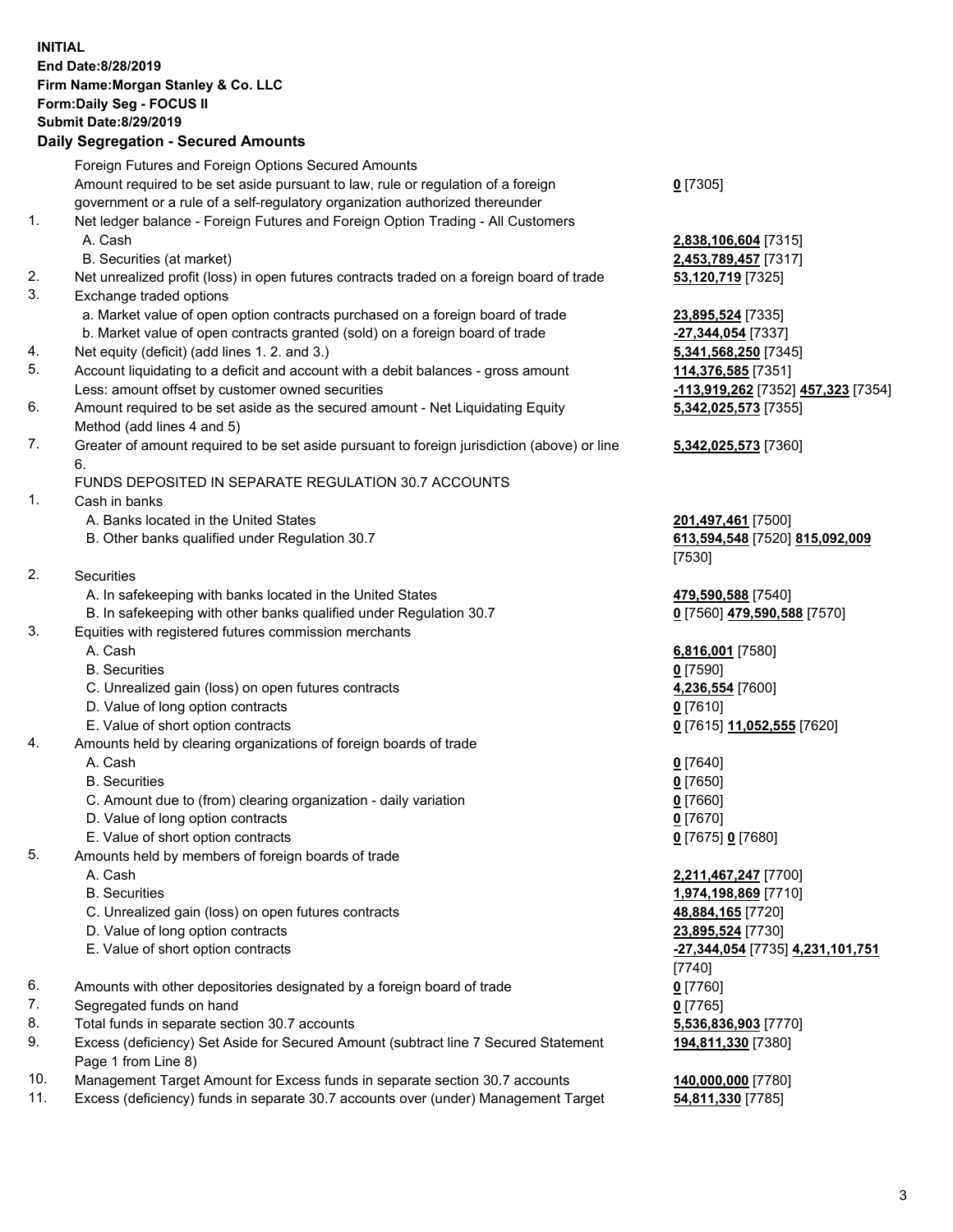## **INITIAL End Date:8/28/2019 Firm Name:Morgan Stanley & Co. LLC Form:Daily Seg - FOCUS II Submit Date:8/29/2019**

## **Daily Segregation - Secured Amounts**

|    | Foreign Futures and Foreign Options Secured Amounts                                         |                                    |
|----|---------------------------------------------------------------------------------------------|------------------------------------|
|    | Amount required to be set aside pursuant to law, rule or regulation of a foreign            | $0$ [7305]                         |
|    | government or a rule of a self-regulatory organization authorized thereunder                |                                    |
| 1. | Net ledger balance - Foreign Futures and Foreign Option Trading - All Customers             |                                    |
|    | A. Cash                                                                                     | 2,838,106,604 [7315]               |
|    | B. Securities (at market)                                                                   | 2,453,789,457 [7317]               |
| 2. | Net unrealized profit (loss) in open futures contracts traded on a foreign board of trade   | 53,120,719 [7325]                  |
| 3. | Exchange traded options                                                                     |                                    |
|    | a. Market value of open option contracts purchased on a foreign board of trade              | 23,895,524 [7335]                  |
|    | b. Market value of open contracts granted (sold) on a foreign board of trade                | -27,344,054 [7337]                 |
| 4. | Net equity (deficit) (add lines 1.2. and 3.)                                                | 5,341,568,250 [7345]               |
| 5. | Account liquidating to a deficit and account with a debit balances - gross amount           | 114,376,585 [7351]                 |
|    | Less: amount offset by customer owned securities                                            | -113,919,262 [7352]                |
| 6. | Amount required to be set aside as the secured amount - Net Liquidating Equity              | 5,342,025,573 [7355]               |
|    | Method (add lines 4 and 5)                                                                  |                                    |
| 7. | Greater of amount required to be set aside pursuant to foreign jurisdiction (above) or line | 5,342,025,573 [7360]               |
|    | 6.                                                                                          |                                    |
|    | FUNDS DEPOSITED IN SEPARATE REGULATION 30.7 ACCOUNTS                                        |                                    |
| 1. | Cash in banks                                                                               |                                    |
|    | A. Banks located in the United States                                                       | 201,497,461 [7500]                 |
|    | B. Other banks qualified under Regulation 30.7                                              | 613,594,548 [7520] 8               |
|    |                                                                                             | [7530]                             |
| 2. | Securities                                                                                  |                                    |
|    | A. In safekeeping with banks located in the United States                                   | 479,590,588 [7540]                 |
|    | B. In safekeeping with other banks qualified under Regulation 30.7                          | 0 [7560] 479,590,588               |
| 3. | Equities with registered futures commission merchants                                       |                                    |
|    | A. Cash                                                                                     | 6,816,001 [7580]                   |
|    | <b>B.</b> Securities                                                                        | $0$ [7590]                         |
|    | C. Unrealized gain (loss) on open futures contracts                                         | 4,236,554 [7600]                   |
|    | D. Value of long option contracts                                                           | $0$ [7610]                         |
|    | E. Value of short option contracts                                                          | 0 [7615] 11,052,555 [              |
| 4. | Amounts held by clearing organizations of foreign boards of trade                           |                                    |
|    | A. Cash                                                                                     | $0$ [7640]                         |
|    | <b>B.</b> Securities                                                                        | $0$ [7650]                         |
|    | C. Amount due to (from) clearing organization - daily variation                             | $0$ [7660]                         |
|    | D. Value of long option contracts                                                           | $0$ [7670]                         |
|    | E. Value of short option contracts                                                          | 0 [7675] 0 [7680]                  |
| 5. | Amounts held by members of foreign boards of trade                                          |                                    |
|    | A. Cash                                                                                     | 2,211,467,247 [7700]               |
|    | <b>B.</b> Securities                                                                        | 1,974,198,869 [7710]               |
|    | C. Unrealized gain (loss) on open futures contracts                                         | 48,884,165 [7720]                  |
|    | D. Value of long option contracts                                                           | 23,895,524 [7730]                  |
|    | E. Value of short option contracts                                                          | <mark>-27,344,054</mark> [7735] 4. |
|    |                                                                                             | [7740]                             |
| 6. | Amounts with other depositories designated by a foreign board of trade                      | $0$ [7760]                         |
| 7. | Segregated funds on hand                                                                    | $0$ [7765]                         |
| 8. | Total funds in separate section 30.7 accounts                                               | 5,536,836,903 [7770]               |
| 9. | Excess (deficiency) Set Aside for Secured Amount (subtract line 7 Secured Statement         | 194,811,330 [7380]                 |
|    | Page 1 from Line 8)                                                                         |                                    |
|    |                                                                                             |                                    |

- 10. Management Target Amount for Excess funds in separate section 30.7 accounts **140,000,000** [7780]
- 11. Excess (deficiency) funds in separate 30.7 accounts over (under) Management Target **54,811,330** [7785]

Less: amount offset by customer owned securities **-113,919,262** [7352] **457,323** [7354] **5,342,025,573** [7355] **5,342,025,573** [7360]

B. Other banks qualified under Regulation 30.7 **613,594,548** [7520] **815,092,009**

 $B = 79,590,588$  [7570]

E. Value of short option contracts **0** [7615] **11,052,555** [7620]

 E. Value of short option contracts **-27,344,054** [7735] **4,231,101,751 194,811,330** [7380]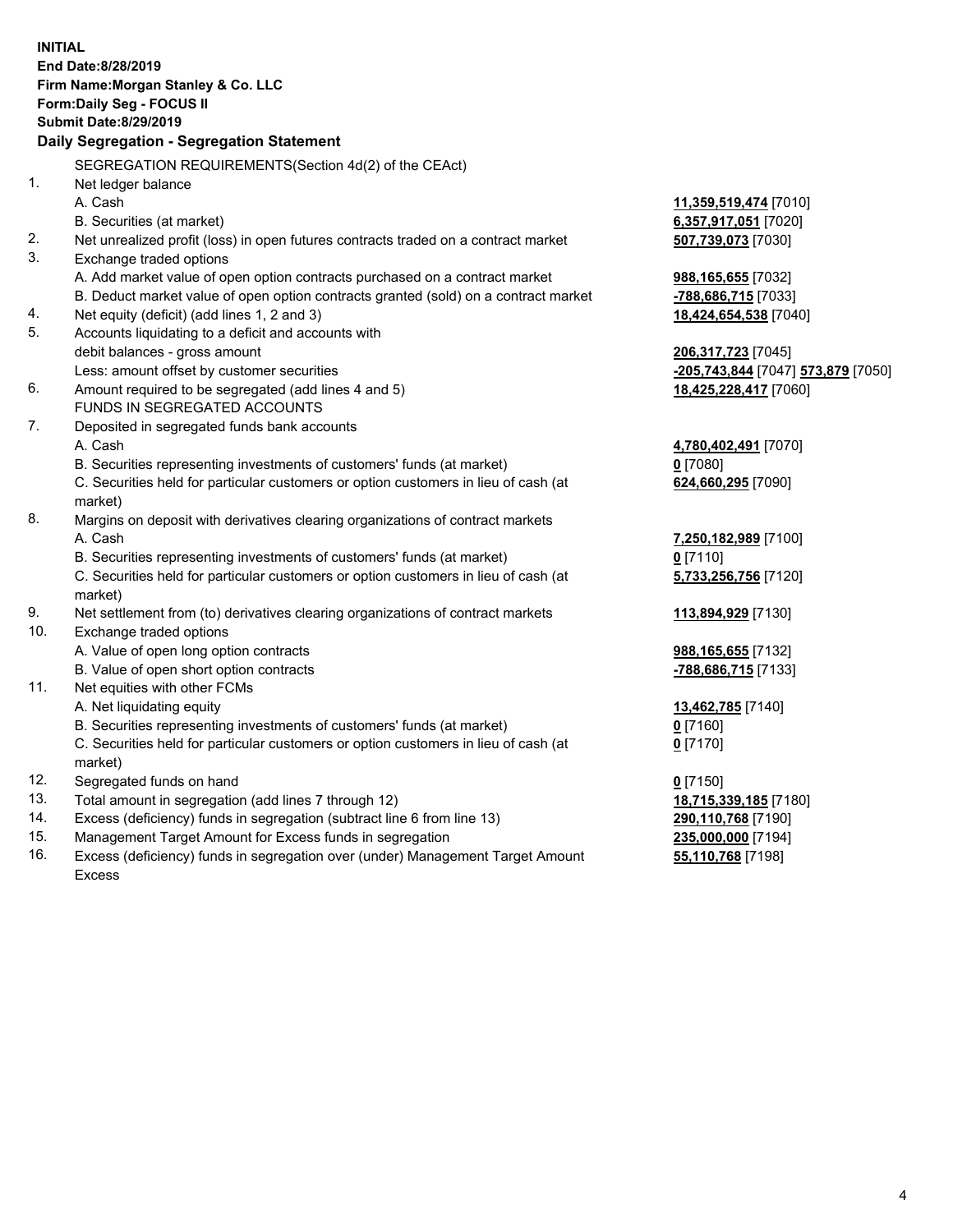|     | <b>INITIAL</b><br>End Date:8/28/2019<br>Firm Name: Morgan Stanley & Co. LLC<br>Form: Daily Seg - FOCUS II<br><b>Submit Date: 8/29/2019</b>                    |                                    |
|-----|---------------------------------------------------------------------------------------------------------------------------------------------------------------|------------------------------------|
|     | Daily Segregation - Segregation Statement                                                                                                                     |                                    |
|     | SEGREGATION REQUIREMENTS(Section 4d(2) of the CEAct)                                                                                                          |                                    |
| 1.  | Net ledger balance                                                                                                                                            |                                    |
|     | A. Cash                                                                                                                                                       | 11,359,519,474 [7010]              |
|     | B. Securities (at market)                                                                                                                                     | 6,357,917,051 [7020]               |
| 2.  | Net unrealized profit (loss) in open futures contracts traded on a contract market                                                                            | 507,739,073 [7030]                 |
| 3.  | Exchange traded options                                                                                                                                       |                                    |
|     | A. Add market value of open option contracts purchased on a contract market                                                                                   | 988,165,655 [7032]                 |
|     | B. Deduct market value of open option contracts granted (sold) on a contract market                                                                           | -788,686,715 [7033]                |
| 4.  | Net equity (deficit) (add lines 1, 2 and 3)                                                                                                                   | 18,424,654,538 [7040]              |
| 5.  | Accounts liquidating to a deficit and accounts with                                                                                                           |                                    |
|     | debit balances - gross amount                                                                                                                                 | 206,317,723 [7045]                 |
|     | Less: amount offset by customer securities                                                                                                                    | -205,743,844 [7047] 573,879 [7050] |
| 6.  | Amount required to be segregated (add lines 4 and 5)<br>FUNDS IN SEGREGATED ACCOUNTS                                                                          | 18,425,228,417 [7060]              |
|     |                                                                                                                                                               |                                    |
| 7.  | Deposited in segregated funds bank accounts                                                                                                                   |                                    |
|     | A. Cash                                                                                                                                                       | 4,780,402,491 [7070]               |
|     | B. Securities representing investments of customers' funds (at market)<br>C. Securities held for particular customers or option customers in lieu of cash (at | $0$ [7080]<br>624,660,295 [7090]   |
|     | market)                                                                                                                                                       |                                    |
| 8.  | Margins on deposit with derivatives clearing organizations of contract markets                                                                                |                                    |
|     | A. Cash                                                                                                                                                       | 7,250,182,989 [7100]               |
|     | B. Securities representing investments of customers' funds (at market)                                                                                        | $0$ [7110]                         |
|     | C. Securities held for particular customers or option customers in lieu of cash (at                                                                           | 5,733,256,756 [7120]               |
|     | market)                                                                                                                                                       |                                    |
| 9.  | Net settlement from (to) derivatives clearing organizations of contract markets                                                                               | 113,894,929 [7130]                 |
| 10. | Exchange traded options                                                                                                                                       |                                    |
|     | A. Value of open long option contracts                                                                                                                        | 988,165,655 [7132]                 |
|     | B. Value of open short option contracts                                                                                                                       | -788,686,715 [7133]                |
| 11. | Net equities with other FCMs                                                                                                                                  |                                    |
|     | A. Net liquidating equity                                                                                                                                     | 13,462,785 [7140]                  |
|     | B. Securities representing investments of customers' funds (at market)                                                                                        | 0[7160]                            |
|     | C. Securities held for particular customers or option customers in lieu of cash (at                                                                           | $0$ [7170]                         |
|     | market)                                                                                                                                                       |                                    |
| 12. | Segregated funds on hand                                                                                                                                      | $0$ [7150]                         |
| 13. | Total amount in segregation (add lines 7 through 12)                                                                                                          | 18,715,339,185 [7180]              |
| 14. | Excess (deficiency) funds in segregation (subtract line 6 from line 13)                                                                                       | 290,110,768 [7190]                 |
| 15. | Management Target Amount for Excess funds in segregation                                                                                                      | 235,000,000 [7194]                 |
| 16. | Excess (deficiency) funds in segregation over (under) Management Target Amount                                                                                | 55,110,768 [7198]                  |

16. Excess (deficiency) funds in segregation over (under) Management Target Amount Excess